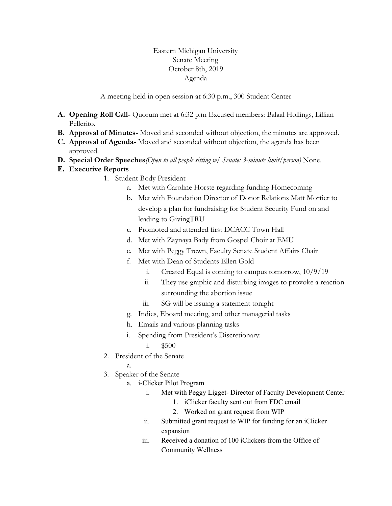## Eastern Michigan University Senate Meeting October 8th, 2019 Agenda

A meeting held in open session at 6:30 p.m., 300 Student Center

- **A. Opening Roll Call-** Quorum met at 6:32 p.m Excused members: Balaal Hollings, Lillian Pellerito.
- **B. Approval of Minutes-** Moved and seconded without objection, the minutes are approved.
- **C. Approval of Agenda-** Moved and seconded without objection, the agenda has been approved.
- **D. Special Order Speeches***(Open to all people sitting w/ Senate: 3-minute limit/person)* None.
- **E. Executive Reports**
	- 1. Student Body President
		- a. Met with Caroline Horste regarding funding Homecoming
		- b. Met with Foundation Director of Donor Relations Matt Mortier to develop a plan for fundraising for Student Security Fund on and leading to GivingTRU
		- c. Promoted and attended first DCACC Town Hall
		- d. Met with Zaynaya Bady from Gospel Choir at EMU
		- e. Met with Peggy Trewn, Faculty Senate Student Affairs Chair
		- f. Met with Dean of Students Ellen Gold
			- i. Created Equal is coming to campus tomorrow,  $10/9/19$
			- ii. They use graphic and disturbing images to provoke a reaction surrounding the abortion issue
			- iii. SG will be issuing a statement tonight
		- g. Indies, Eboard meeting, and other managerial tasks
		- h. Emails and various planning tasks
		- i. Spending from President's Discretionary:
			- i. \$500
	- 2. President of the Senate
		- a.
	- 3. Speaker of the Senate
		- a. i-Clicker Pilot Program
			- i. Met with Peggy Ligget- Director of Faculty Development Center
				- 1. iClicker faculty sent out from FDC email
				- 2. Worked on grant request from WIP
			- ii. Submitted grant request to WIP for funding for an iClicker expansion
			- iii. Received a donation of 100 iClickers from the Office of Community Wellness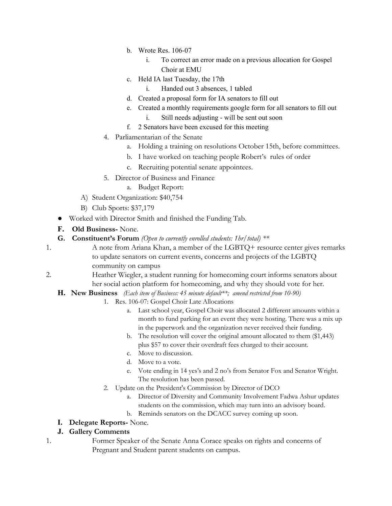- b. Wrote Res. 106-07
	- i. To correct an error made on a previous allocation for Gospel Choir at EMU
- c. Held IA last Tuesday, the 17th
	- i. Handed out 3 absences, 1 tabled
- d. Created a proposal form for IA senators to fill out
- e. Created a monthly requirements google form for all senators to fill out
	- i. Still needs adjusting will be sent out soon
- f. 2 Senators have been excused for this meeting
- 4. Parliamentarian of the Senate
	- a. Holding a training on resolutions October 15th, before committees.
	- b. I have worked on teaching people Robert's rules of order
	- c. Recruiting potential senate appointees.
- 5. Director of Business and Finance
	- a. Budget Report:
- A) Student Organization: \$40,754
- B) Club Sports: \$37,179
- Worked with Director Smith and finished the Funding Tab.
- **F. Old Business-** None.
- **G. Constituent's Forum** *(Open to currently enrolled students: 1hr/total) \*\**
- 1. A note from Ariana Khan, a member of the LGBTQ+ resource center gives remarks to update senators on current events, concerns and projects of the LGBTQ community on campus
- 2. Heather Wiegler, a student running for homecoming court informs senators about her social action platform for homecoming, and why they should vote for her.
	- **H. New Business** *(Each item of Business: 45 minute default\*\*; amend restricted from 10-90)*
		- 1. Res. 106-07: Gospel Choir Late Allocations
			- a. Last school year, Gospel Choir was allocated 2 different amounts within a month to fund parking for an event they were hosting. There was a mix up in the paperwork and the organization never received their funding.
			- b. The resolution will cover the original amount allocated to them (\$1,443) plus \$57 to cover their overdraft fees charged to their account.
			- c. Move to discussion.
			- d. Move to a vote.
			- e. Vote ending in 14 yes's and 2 no's from Senator Fox and Senator Wright. The resolution has been passed.
		- 2. Update on the President's Commission by Director of DCO
			- a. Director of Diversity and Community Involvement Fadwa Ashur updates students on the commission, which may turn into an advisory board.
			- b. Reminds senators on the DCACC survey coming up soon.

## **I. Delegate Reports-** None.

## **J. Gallery Comments**

1. Former Speaker of the Senate Anna Corace speaks on rights and concerns of Pregnant and Student parent students on campus.